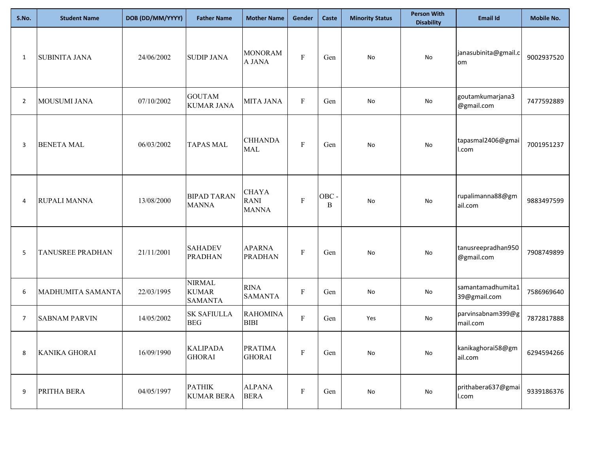| S.No.          | <b>Student Name</b>  | DOB (DD/MM/YYYY) | <b>Father Name</b>                              | <b>Mother Name</b>                          | Gender                    | Caste     | <b>Minority Status</b>       | <b>Person With</b><br><b>Disability</b> | <b>Email Id</b>                   | <b>Mobile No.</b> |
|----------------|----------------------|------------------|-------------------------------------------------|---------------------------------------------|---------------------------|-----------|------------------------------|-----------------------------------------|-----------------------------------|-------------------|
| 1              | <b>SUBINITA JANA</b> | 24/06/2002       | <b>SUDIP JANA</b>                               | <b>MONORAM</b><br>A JANA                    | $\boldsymbol{\mathrm{F}}$ | Gen       | No                           | No                                      | janasubinita@gmail.c<br>om        | 9002937520        |
| $\overline{2}$ | MOUSUMI JANA         | 07/10/2002       | <b>GOUTAM</b><br><b>KUMAR JANA</b>              | <b>MITA JANA</b>                            | $\mathbf{F}$              | Gen       | No                           | No                                      | goutamkumarjana3<br>@gmail.com    | 7477592889        |
| 3              | <b>BENETA MAL</b>    | 06/03/2002       | <b>TAPAS MAL</b>                                | <b>CHHANDA</b><br><b>MAL</b>                | $\mathbf F$               | Gen       | No                           | No                                      | tapasmal2406@gmai<br>l.com        | 7001951237        |
| 4              | RUPALI MANNA         | 13/08/2000       | <b>BIPAD TARAN</b><br><b>MANNA</b>              | <b>CHAYA</b><br><b>RANI</b><br><b>MANNA</b> | $\mathbf F$               | OBC-<br>B | No                           | No                                      | rupalimanna88@gm<br>ail.com       | 9883497599        |
| 5              | TANUSREE PRADHAN     | 21/11/2001       | <b>SAHADEV</b><br><b>PRADHAN</b>                | <b>APARNA</b><br><b>PRADHAN</b>             | $\mathbf{F}$              | Gen       | No                           | No                                      | tanusreepradhan950<br>@gmail.com  | 7908749899        |
| 6              | MADHUMITA SAMANTA    | 22/03/1995       | <b>NIRMAL</b><br><b>KUMAR</b><br><b>SAMANTA</b> | <b>RINA</b><br><b>SAMANTA</b>               | $\boldsymbol{\mathrm{F}}$ | Gen       | No                           | No                                      | samantamadhumita1<br>39@gmail.com | 7586969640        |
| $\overline{7}$ | <b>SABNAM PARVIN</b> | 14/05/2002       | <b>SK SAFIULLA</b><br><b>BEG</b>                | <b>RAHOMINA</b><br><b>BIBI</b>              | $\mathbf F$               | Gen       | Yes                          | No                                      | parvinsabnam399@g<br>mail.com     | 7872817888        |
| 8              | KANIKA GHORAI        | 16/09/1990       | <b>KALIPADA</b><br><b>GHORAI</b>                | <b>PRATIMA</b><br><b>GHORAI</b>             | $\mathbf F$               | Gen       | $\operatorname{\mathsf{No}}$ | $\operatorname{\mathsf{No}}$            | kanikaghorai58@gm<br>ail.com      | 6294594266        |
| 9              | PRITHA BERA          | 04/05/1997       | <b>PATHIK</b><br><b>KUMAR BERA</b>              | <b>ALPANA</b><br><b>BERA</b>                | $\boldsymbol{\mathrm{F}}$ | Gen       | No                           | $\operatorname{\mathsf{No}}$            | prithabera637@gmai<br>I.com       | 9339186376        |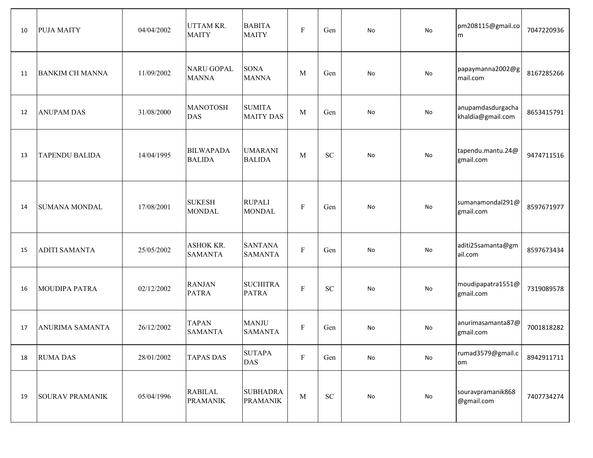| 10 | <b>PUJA MAITY</b>      | 04/04/2002 | <b>UTTAM KR.</b><br><b>MAITY</b>   | <b>BABITA</b><br><b>MAITY</b>      | $\boldsymbol{\mathrm{F}}$ | Gen        | No                           | <b>No</b> | pm208115@gmail.co<br>m                 | 7047220936 |
|----|------------------------|------------|------------------------------------|------------------------------------|---------------------------|------------|------------------------------|-----------|----------------------------------------|------------|
| 11 | <b>BANKIM CH MANNA</b> | 11/09/2002 | <b>NARU GOPAL</b><br><b>MANNA</b>  | <b>SONA</b><br><b>MANNA</b>        | M                         | Gen        | No                           | <b>No</b> | papaymanna2002@g<br>mail.com           | 8167285266 |
| 12 | <b>ANUPAM DAS</b>      | 31/08/2000 | <b>MANOTOSH</b><br><b>DAS</b>      | <b>SUMITA</b><br><b>MAITY DAS</b>  | $\mathbf{M}$              | Gen        | No                           | <b>No</b> | anupamdasdurgacha<br>khaldia@gmail.com | 8653415791 |
| 13 | <b>TAPENDU BALIDA</b>  | 14/04/1995 | <b>BILWAPADA</b><br><b>BALIDA</b>  | <b>UMARANI</b><br><b>BALIDA</b>    | M                         | <b>SC</b>  | No                           | No        | tapendu.mantu.24@<br>gmail.com         | 9474711516 |
| 14 | <b>SUMANA MONDAL</b>   | 17/08/2001 | <b>SUKESH</b><br><b>MONDAL</b>     | <b>RUPALI</b><br><b>MONDAL</b>     | $\boldsymbol{\mathrm{F}}$ | Gen        | No                           | No        | sumanamondal291@<br>gmail.com          | 8597671977 |
| 15 | <b>ADITI SAMANTA</b>   | 25/05/2002 | <b>ASHOK KR.</b><br><b>SAMANTA</b> | <b>SANTANA</b><br><b>SAMANTA</b>   | ${\bf F}$                 | Gen        | No                           | No        | aditi25samanta@gm<br>ail.com           | 8597673434 |
| 16 | <b>MOUDIPA PATRA</b>   | 02/12/2002 | <b>RANJAN</b><br><b>PATRA</b>      | <b>SUCHITRA</b><br><b>PATRA</b>    | $\boldsymbol{\mathrm{F}}$ | <b>SC</b>  | No                           | No        | moudipapatra1551@<br>gmail.com         | 7319089578 |
| 17 | <b>ANURIMA SAMANTA</b> | 26/12/2002 | <b>TAPAN</b><br><b>SAMANTA</b>     | <b>MANJU</b><br><b>SAMANTA</b>     | $\mathbf F$               | Gen        | No                           | <b>No</b> | anurimasamanta87@<br>gmail.com         | 7001818282 |
| 18 | <b>RUMA DAS</b>        | 28/01/2002 | <b>TAPAS DAS</b>                   | <b>SUTAPA</b><br><b>DAS</b>        | ${\bf F}$                 | Gen        | No                           | No        | rumad3579@gmail.c<br>om                | 8942911711 |
| 19 | <b>SOURAV PRAMANIK</b> | 05/04/1996 | <b>RABILAL</b><br><b>PRAMANIK</b>  | <b>SUBHADRA</b><br><b>PRAMANIK</b> | $\mathbf M$               | ${\rm SC}$ | $\operatorname{\mathsf{No}}$ | No        | souravpramanik868<br>@gmail.com        | 7407734274 |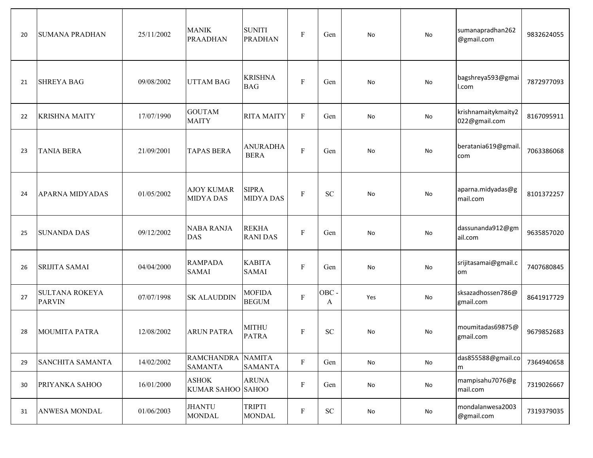| 20 | <b>SUMANA PRADHAN</b>                  | 25/11/2002 | <b>MANIK</b><br>PRAADHAN              | <b>SUNITI</b><br><b>PRADHAN</b>  | $\boldsymbol{\mathrm{F}}$ | Gen        | No                           | No        | sumanapradhan262<br>@gmail.com       | 9832624055 |
|----|----------------------------------------|------------|---------------------------------------|----------------------------------|---------------------------|------------|------------------------------|-----------|--------------------------------------|------------|
| 21 | <b>SHREYA BAG</b>                      | 09/08/2002 | <b>UTTAM BAG</b>                      | <b>KRISHNA</b><br><b>BAG</b>     | $\mathbf{F}$              | Gen        | No                           | No        | bagshreya593@gmai<br>l.com           | 7872977093 |
| 22 | <b>KRISHNA MAITY</b>                   | 17/07/1990 | <b>GOUTAM</b><br><b>MAITY</b>         | <b>RITA MAITY</b>                | $\boldsymbol{\mathrm{F}}$ | Gen        | No                           | No        | krishnamaitykmaity2<br>022@gmail.com | 8167095911 |
| 23 | <b>TANIA BERA</b>                      | 21/09/2001 | <b>TAPAS BERA</b>                     | <b>ANURADHA</b><br><b>BERA</b>   | $\mathbf F$               | Gen        | No                           | <b>No</b> | beratania619@gmail.<br>com           | 7063386068 |
| 24 | <b>APARNA MIDYADAS</b>                 | 01/05/2002 | <b>AJOY KUMAR</b><br><b>MIDYA DAS</b> | <b>SIPRA</b><br><b>MIDYA DAS</b> | $\mathbf{F}$              | ${\rm SC}$ | No                           | No        | aparna.midyadas@g<br>mail.com        | 8101372257 |
| 25 | <b>SUNANDA DAS</b>                     | 09/12/2002 | <b>NABA RANJA</b><br><b>DAS</b>       | <b>REKHA</b><br><b>RANIDAS</b>   | $\mathbf{F}$              | Gen        | No                           | No        | dassunanda912@gm<br>ail.com          | 9635857020 |
| 26 | SRIJITA SAMAI                          | 04/04/2000 | <b>RAMPADA</b><br><b>SAMAI</b>        | <b>KABITA</b><br><b>SAMAI</b>    | ${\bf F}$                 | Gen        | No                           | No        | srijitasamai@gmail.c<br>om           | 7407680845 |
| 27 | <b>SULTANA ROKEYA</b><br><b>PARVIN</b> | 07/07/1998 | <b>SK ALAUDDIN</b>                    | <b>MOFIDA</b><br><b>BEGUM</b>    | ${\bf F}$                 | OBC-<br>A  | Yes                          | No        | sksazadhossen786@<br>gmail.com       | 8641917729 |
| 28 | <b>MOUMITA PATRA</b>                   | 12/08/2002 | <b>ARUN PATRA</b>                     | <b>MITHU</b><br><b>PATRA</b>     | ${\bf F}$                 | ${\rm SC}$ | No                           | No        | moumitadas69875@<br>gmail.com        | 9679852683 |
| 29 | SANCHITA SAMANTA                       | 14/02/2002 | RAMCHANDRA NAMITA<br><b>SAMANTA</b>   | <b>SAMANTA</b>                   | $\mathbf F$               | Gen        | No                           | No        | das855588@gmail.co<br>m              | 7364940658 |
| 30 | PRIYANKA SAHOO                         | 16/01/2000 | <b>ASHOK</b><br>KUMAR SAHOO SAHOO     | <b>ARUNA</b>                     | $\mathbf F$               | Gen        | No                           | No        | mampisahu7076@g<br>mail.com          | 7319026667 |
| 31 | ANWESA MONDAL                          | 01/06/2003 | <b>JHANTU</b><br><b>MONDAL</b>        | <b>TRIPTI</b><br><b>MONDAL</b>   | ${\bf F}$                 | ${\rm SC}$ | $\operatorname{\mathsf{No}}$ | No        | mondalanwesa2003<br>@gmail.com       | 7319379035 |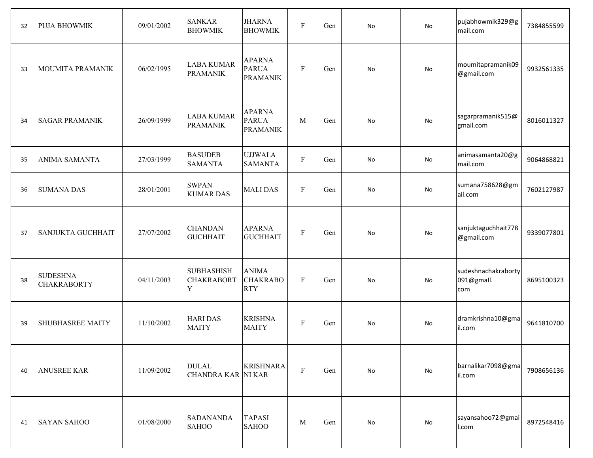| 32 | <b>PUJA BHOWMIK</b>                   | 09/01/2002 | <b>SANKAR</b><br><b>BHOWMIK</b>             | <b>JHARNA</b><br><b>BHOWMIK</b>                  | $\mathbf F$             | Gen | No        | No | pujabhowmik329@g<br>mail.com             | 7384855599 |
|----|---------------------------------------|------------|---------------------------------------------|--------------------------------------------------|-------------------------|-----|-----------|----|------------------------------------------|------------|
| 33 | MOUMITA PRAMANIK                      | 06/02/1995 | <b>LABA KUMAR</b><br><b>PRAMANIK</b>        | <b>APARNA</b><br><b>PARUA</b><br><b>PRAMANIK</b> | $\mathbf{F}$            | Gen | No        | No | moumitapramanik09<br>@gmail.com          | 9932561335 |
| 34 | <b>SAGAR PRAMANIK</b>                 | 26/09/1999 | <b>LABA KUMAR</b><br><b>PRAMANIK</b>        | <b>APARNA</b><br><b>PARUA</b><br><b>PRAMANIK</b> | M                       | Gen | No        | No | sagarpramanik515@<br>gmail.com           | 8016011327 |
| 35 | <b>ANIMA SAMANTA</b>                  | 27/03/1999 | <b>BASUDEB</b><br><b>SAMANTA</b>            | <b>UJJWALA</b><br><b>SAMANTA</b>                 | ${\bf F}$               | Gen | No        | No | animasamanta20@g<br>mail.com             | 9064868821 |
| 36 | <b>SUMANA DAS</b>                     | 28/01/2001 | <b>SWPAN</b><br><b>KUMAR DAS</b>            | <b>MALIDAS</b>                                   | $\mathbf{F}$            | Gen | No        | No | sumana758628@gm<br>ail.com               | 7602127987 |
| 37 | <b>SANJUKTA GUCHHAIT</b>              | 27/07/2002 | <b>CHANDAN</b><br><b>GUCHHAIT</b>           | <b>APARNA</b><br><b>GUCHHAIT</b>                 | $\mathbf F$             | Gen | <b>No</b> | No | sanjuktaguchhait778<br>@gmail.com        | 9339077801 |
| 38 | <b>SUDESHNA</b><br><b>CHAKRABORTY</b> | 04/11/2003 | <b>SUBHASHISH</b><br><b>CHAKRABORT</b><br>Y | <b>ANIMA</b><br><b>CHAKRABO</b><br><b>RTY</b>    | $\mathbf F$             | Gen | No        | No | sudeshnachakraborty<br>091@gmall.<br>com | 8695100323 |
| 39 | <b>SHUBHASREE MAITY</b>               | 11/10/2002 | <b>HARI DAS</b><br><b>MAITY</b>             | <b>KRISHNA</b><br><b>MAITY</b>                   | ${\bf F}$               | Gen | No        | No | dramkrishna10@gma<br>il.com              | 9641810700 |
| 40 | <b>ANUSREE KAR</b>                    | 11/09/2002 | <b>DULAL</b><br><b>CHANDRA KAR NI KAR</b>   | <b>KRISHNARA</b>                                 | $\overline{\mathrm{F}}$ | Gen | No        | No | barnalikar7098@gma<br>il.com             | 7908656136 |
| 41 | <b>SAYAN SAHOO</b>                    | 01/08/2000 | <b>SADANANDA</b><br><b>SAHOO</b>            | <b>TAPASI</b><br><b>SAHOO</b>                    | M                       | Gen | No        | No | sayansahoo72@gmai<br>I.com               | 8972548416 |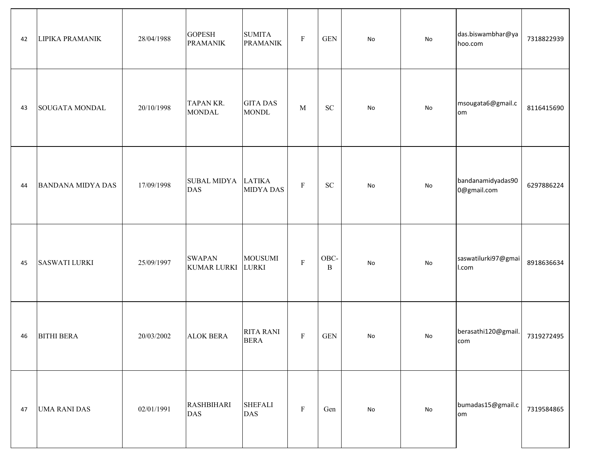| 42 | LIPIKA PRAMANIK          | 28/04/1988 | <b>GOPESH</b><br><b>PRAMANIK</b>    | <b>SUMITA</b><br><b>PRAMANIK</b> | $\mathbf F$ | $\operatorname{GEN}$ | No         | No | das.biswambhar@ya<br>hoo.com     | 7318822939 |
|----|--------------------------|------------|-------------------------------------|----------------------------------|-------------|----------------------|------------|----|----------------------------------|------------|
| 43 | <b>SOUGATA MONDAL</b>    | 20/10/1998 | <b>TAPANKR.</b><br><b>MONDAL</b>    | <b>GITA DAS</b><br><b>MONDL</b>  | M           | ${\rm SC}$           | No         | No | msougata6@gmail.c<br>om          | 8116415690 |
| 44 | <b>BANDANA MIDYA DAS</b> | 17/09/1998 | SUBAL MIDYA LATIKA<br>DAS           | <b>MIDYA DAS</b>                 | $\mathbf F$ | ${\rm SC}$           | No         | No | bandanamidyadas90<br>0@gmail.com | 6297886224 |
| 45 | <b>SASWATI LURKI</b>     | 25/09/1997 | <b>SWAPAN</b><br><b>KUMAR LURKI</b> | <b>MOUSUMI</b><br><b>LURKI</b>   | $\mathbf F$ | OBC-<br>$\, {\bf B}$ | No         | No | saswatilurki97@gmai<br>I.com     | 8918636634 |
| 46 | <b>BITHI BERA</b>        | 20/03/2002 | <b>ALOK BERA</b>                    | <b>RITA RANI</b><br><b>BERA</b>  | $\mathbf F$ | <b>GEN</b>           | No         | No | berasathi120@gmail.<br>com       | 7319272495 |
| 47 | <b>UMA RANI DAS</b>      | 02/01/1991 | <b>RASHBIHARI</b><br><b>DAS</b>     | <b>SHEFALI</b><br><b>DAS</b>     | $\mathbf F$ | Gen                  | ${\sf No}$ | No | bumadas15@gmail.c<br>om          | 7319584865 |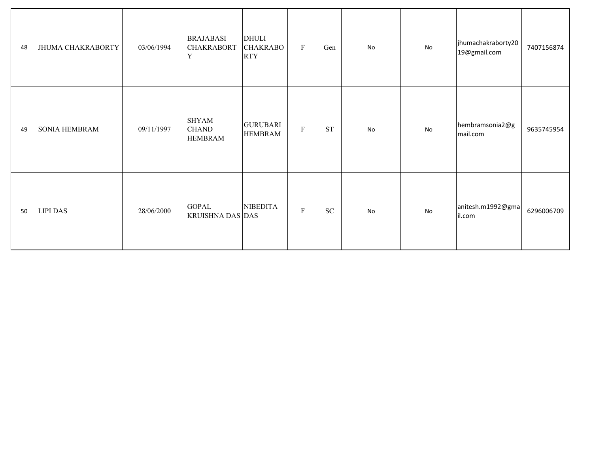| 48 | JHUMA CHAKRABORTY    | 03/06/1994 | <b>BRAJABASI</b><br><b>CHAKRABORT</b><br>$\,$ Y | <b>DHULI</b><br><b>CHAKRABO</b><br><b>RTY</b> | $\boldsymbol{\mathrm{F}}$ | Gen        | No | No | jhumachakraborty20<br>19@gmail.com | 7407156874 |
|----|----------------------|------------|-------------------------------------------------|-----------------------------------------------|---------------------------|------------|----|----|------------------------------------|------------|
| 49 | <b>SONIA HEMBRAM</b> | 09/11/1997 | <b>SHYAM</b><br><b>CHAND</b><br><b>HEMBRAM</b>  | <b>GURUBARI</b><br><b>HEMBRAM</b>             | $\rm F$                   | <b>ST</b>  | No | No | hembramsonia2@g<br>mail.com        | 9635745954 |
| 50 | <b>LIPI DAS</b>      | 28/06/2000 | <b>GOPAL</b><br><b>KRUISHNA DAS DAS</b>         | <b>NIBEDITA</b>                               | $\rm F$                   | ${\rm SC}$ | No | No | anitesh.m1992@gma<br>il.com        | 6296006709 |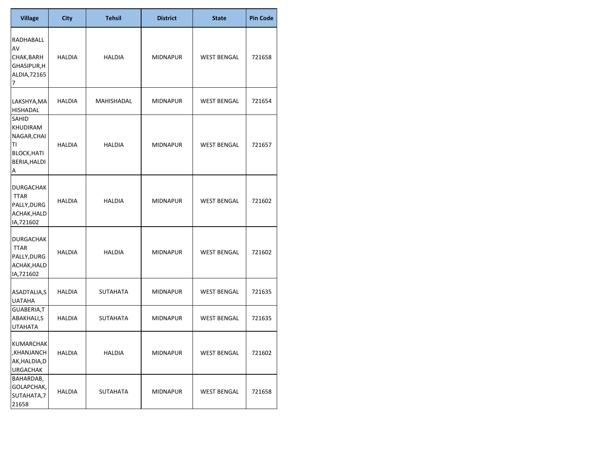| <b>Village</b>                                                             | <b>City</b>   | <b>Tehsil</b> | <b>District</b> | <b>State</b>       | <b>Pin Code</b> |
|----------------------------------------------------------------------------|---------------|---------------|-----------------|--------------------|-----------------|
| RADHABALL<br>AV<br>CHAK, BARH<br>GHASIPUR,H<br>ALDIA, 72165<br>7           | HALDIA        | HALDIA        | <b>MIDNAPUR</b> | <b>WEST BENGAL</b> | 721658          |
| LAKSHYA, MA<br>HISHADAL                                                    | HALDIA        | MAHISHADAL    | <b>MIDNAPUR</b> | <b>WEST BENGAL</b> | 721654          |
| SAHID<br>KHUDIRAM<br>NAGAR, CHAI<br>TI<br>BLOCK, HATI<br>BERIA, HALDI<br>A | HALDIA        | HALDIA        | <b>MIDNAPUR</b> | <b>WEST BENGAL</b> | 721657          |
| <b>DURGACHAK</b><br><b>TTAR</b><br>PALLY, DURG<br>ACHAK, HALD<br>IA,721602 | HALDIA        | HALDIA        | <b>MIDNAPUR</b> | <b>WEST BENGAL</b> | 721602          |
| DURGACHAK<br><b>TTAR</b><br>PALLY, DURG<br>ACHAK, HALD<br>IA,721602        | <b>HALDIA</b> | <b>HALDIA</b> | <b>MIDNAPUR</b> | <b>WEST BENGAL</b> | 721602          |
| ASADTALIA,S<br><b>UATAHA</b>                                               | HALDIA        | SUTAHATA      | <b>MIDNAPUR</b> | <b>WEST BENGAL</b> | 721635          |
| GUABERIA,T<br>ABAKHALI,S<br><b>UTAHATA</b>                                 | HALDIA        | SUTAHATA      | MIDNAPUR        | <b>WEST BENGAL</b> | 721635          |
| <b>KUMARCHAK</b><br>,KHANJANCH<br>AK, HALDIA, D<br><b>URGACHAK</b>         | <b>HALDIA</b> | <b>HALDIA</b> | <b>MIDNAPUR</b> | <b>WEST BENGAL</b> | 721602          |
| BAHARDAB,<br>GOLAPCHAK,<br>SUTAHATA,7<br>21658                             | HALDIA        | SUTAHATA      | <b>MIDNAPUR</b> | <b>WEST BENGAL</b> | 721658          |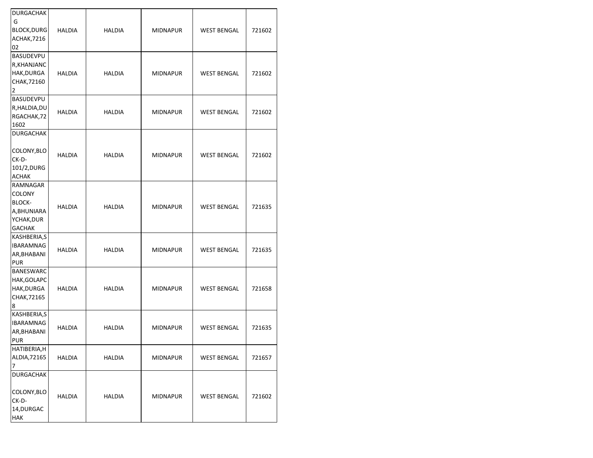| <b>DURGACHAK</b>  |               |               |                 |                    |        |
|-------------------|---------------|---------------|-----------------|--------------------|--------|
| G                 |               |               |                 |                    |        |
| <b>BLOCK,DURG</b> | <b>HALDIA</b> | <b>HALDIA</b> | <b>MIDNAPUR</b> | <b>WEST BENGAL</b> | 721602 |
| ACHAK, 7216       |               |               |                 |                    |        |
| 02                |               |               |                 |                    |        |
| <b>BASUDEVPU</b>  |               |               |                 |                    |        |
| R, KHANJANC       |               |               |                 |                    |        |
| HAK, DURGA        | <b>HALDIA</b> | <b>HALDIA</b> | <b>MIDNAPUR</b> | <b>WEST BENGAL</b> | 721602 |
| CHAK, 72160       |               |               |                 |                    |        |
| 2                 |               |               |                 |                    |        |
| <b>BASUDEVPU</b>  |               |               |                 |                    |        |
| R, HALDIA, DU     |               |               |                 |                    |        |
| RGACHAK, 72       | <b>HALDIA</b> | <b>HALDIA</b> | <b>MIDNAPUR</b> | <b>WEST BENGAL</b> | 721602 |
| 1602              |               |               |                 |                    |        |
| <b>DURGACHAK</b>  |               |               |                 |                    |        |
|                   |               |               |                 |                    |        |
| COLONY, BLO       |               |               |                 |                    |        |
| CK-D-             | <b>HALDIA</b> | <b>HALDIA</b> | <b>MIDNAPUR</b> | <b>WEST BENGAL</b> | 721602 |
|                   |               |               |                 |                    |        |
| 101/2, DURG       |               |               |                 |                    |        |
| ACHAK<br>RAMNAGAR |               |               |                 |                    |        |
|                   |               |               |                 |                    |        |
| COLONY            |               |               |                 |                    |        |
| <b>BLOCK-</b>     | <b>HALDIA</b> | <b>HALDIA</b> | <b>MIDNAPUR</b> | <b>WEST BENGAL</b> | 721635 |
| A, BHUNIARA       |               |               |                 |                    |        |
| YCHAK, DUR        |               |               |                 |                    |        |
| <b>GACHAK</b>     |               |               |                 |                    |        |
| KASHBERIA,S       |               |               |                 |                    |        |
| <b>IBARAMNAG</b>  | HALDIA        | HALDIA        | <b>MIDNAPUR</b> | <b>WEST BENGAL</b> | 721635 |
| AR, BHABANI       |               |               |                 |                    |        |
| <b>PUR</b>        |               |               |                 |                    |        |
| <b>BANESWARC</b>  |               |               |                 |                    |        |
| HAK, GOLAPC       |               |               |                 |                    |        |
| HAK,DURGA         | HALDIA        | <b>HALDIA</b> | <b>MIDNAPUR</b> | <b>WEST BENGAL</b> | 721658 |
| CHAK, 72165       |               |               |                 |                    |        |
| 8                 |               |               |                 |                    |        |
| KASHBERIA,S       |               |               |                 |                    |        |
| <b>IBARAMNAG</b>  |               |               |                 |                    |        |
| AR, BHABANI       | <b>HALDIA</b> | <b>HALDIA</b> | <b>MIDNAPUR</b> | <b>WEST BENGAL</b> | 721635 |
| <b>PUR</b>        |               |               |                 |                    |        |
| HATIBERIA,H       |               |               |                 |                    |        |
| ALDIA, 72165      | HALDIA        | HALDIA        | MIDNAPUR        | <b>WEST BENGAL</b> | 721657 |
| 7                 |               |               |                 |                    |        |
| <b>DURGACHAK</b>  |               |               |                 |                    |        |
|                   |               |               |                 |                    |        |
| COLONY, BLO       |               |               |                 |                    |        |
| CK-D-             | <b>HALDIA</b> | <b>HALDIA</b> | <b>MIDNAPUR</b> | <b>WEST BENGAL</b> | 721602 |
| 14, DURGAC        |               |               |                 |                    |        |
| HAK               |               |               |                 |                    |        |
|                   |               |               |                 |                    |        |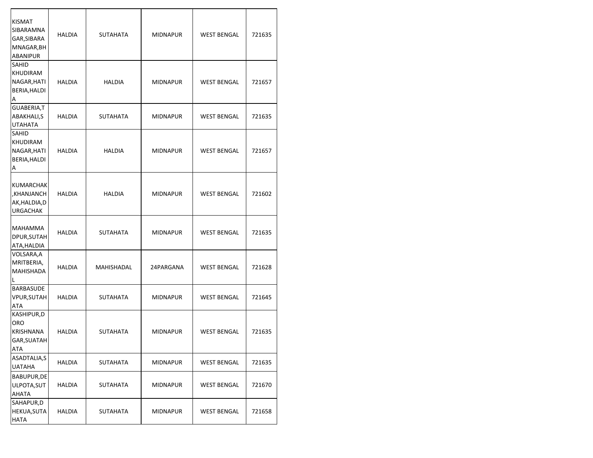| <b>KISMAT</b><br>SIBARAMNA<br>GAR, SIBARA<br>MNAGAR, BH<br><b>ABANIPUR</b> | HALDIA        | SUTAHATA      | MIDNAPUR        | <b>WEST BENGAL</b> | 721635 |
|----------------------------------------------------------------------------|---------------|---------------|-----------------|--------------------|--------|
| SAHID<br>KHUDIRAM<br>NAGAR, HATI<br>BERIA, HALDI<br>A                      | <b>HALDIA</b> | <b>HALDIA</b> | <b>MIDNAPUR</b> | <b>WEST BENGAL</b> | 721657 |
| GUABERIA, T<br>ABAKHALI,S<br><b>UTAHATA</b>                                | HALDIA        | SUTAHATA      | <b>MIDNAPUR</b> | <b>WEST BENGAL</b> | 721635 |
| SAHID<br>KHUDIRAM<br>NAGAR, HATI<br>BERIA, HALDI<br>А                      | HALDIA        | HALDIA        | MIDNAPUR        | <b>WEST BENGAL</b> | 721657 |
| <b>KUMARCHAK</b><br>,KHANJANCH<br>AK, HALDIA, D<br><b>URGACHAK</b>         | <b>HALDIA</b> | HALDIA        | <b>MIDNAPUR</b> | <b>WEST BENGAL</b> | 721602 |
| MAHAMMA<br>DPUR, SUTAH<br>ATA, HALDIA                                      | HALDIA        | SUTAHATA      | MIDNAPUR        | <b>WEST BENGAL</b> | 721635 |
| VOLSARA,A<br>MRITBERIA,<br>MAHISHADA<br>L                                  | <b>HALDIA</b> | MAHISHADAL    | 24PARGANA       | <b>WEST BENGAL</b> | 721628 |
| BARBASUDE<br><b>VPUR, SUTAH</b><br>ATA                                     | <b>HALDIA</b> | SUTAHATA      | <b>MIDNAPUR</b> | <b>WEST BENGAL</b> | 721645 |
| KASHIPUR,D<br><b>ORO</b><br>KRISHNANA<br>GAR, SUATAH<br>ATA                | <b>HALDIA</b> | SUTAHATA      | <b>MIDNAPUR</b> | <b>WEST BENGAL</b> | 721635 |
| ASADTALIA,S<br><b>UATAHA</b>                                               | <b>HALDIA</b> | SUTAHATA      | MIDNAPUR        | WEST BENGAL        | 721635 |
| BABUPUR, DE<br>ULPOTA, SUT<br>AHATA                                        | HALDIA        | SUTAHATA      | MIDNAPUR        | <b>WEST BENGAL</b> | 721670 |
| SAHAPUR,D<br>HEKUA, SUTA<br><b>HATA</b>                                    | HALDIA        | SUTAHATA      | MIDNAPUR        | <b>WEST BENGAL</b> | 721658 |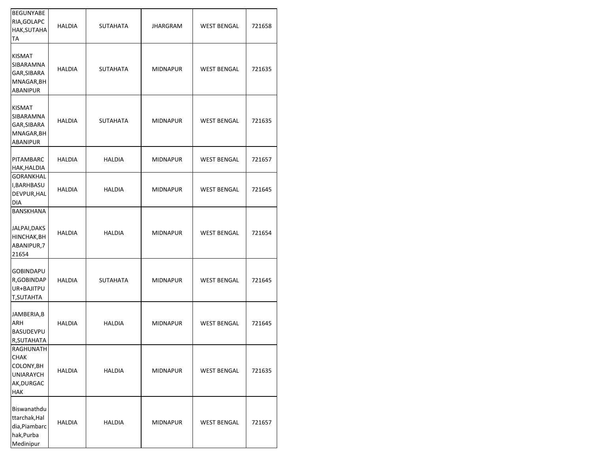| BEGUNYABE<br>RIA, GOLAPC<br>HAK,SUTAHA<br>ТA                             | HALDIA        | <b>SUTAHATA</b> | <b>JHARGRAM</b> | <b>WEST BENGAL</b> | 721658 |
|--------------------------------------------------------------------------|---------------|-----------------|-----------------|--------------------|--------|
| KISMAT<br>SIBARAMNA<br>GAR,SIBARA<br>MNAGAR, BH<br>ABANIPUR              | HALDIA        | <b>SUTAHATA</b> | <b>MIDNAPUR</b> | <b>WEST BENGAL</b> | 721635 |
| KISMAT<br>SIBARAMNA<br>GAR,SIBARA<br>MNAGAR,BH<br>ABANIPUR               | <b>HALDIA</b> | <b>SUTAHATA</b> | <b>MIDNAPUR</b> | <b>WEST BENGAL</b> | 721635 |
| PITAMBARC<br>HAK,HALDIA                                                  | <b>HALDIA</b> | <b>HALDIA</b>   | <b>MIDNAPUR</b> | <b>WEST BENGAL</b> | 721657 |
| GORANKHAL<br>I, BARHBASU<br>DEVPUR, HAL<br>DIA                           | HALDIA        | HALDIA          | <b>MIDNAPUR</b> | <b>WEST BENGAL</b> | 721645 |
| BANSKHANA<br>JALPAI,DAKS<br>HINCHAK,BH<br>ABANIPUR,7<br>21654            | <b>HALDIA</b> | <b>HALDIA</b>   | <b>MIDNAPUR</b> | <b>WEST BENGAL</b> | 721654 |
| GOBINDAPU<br>R, GOBINDAP<br>UR+BAJITPU<br>T,SUTAHTA                      | HALDIA        | SUTAHATA        | <b>MIDNAPUR</b> | <b>WEST BENGAL</b> | 721645 |
| JAMBERIA, B<br>ARH<br>BASUDEVPU<br>R,SUTAHATA                            | <b>HALDIA</b> | <b>HALDIA</b>   | <b>MIDNAPUR</b> | <b>WEST BENGAL</b> | 721645 |
| RAGHUNATH<br>СНАК<br>COLONY,BH<br>UNIARAYCH<br>AK,DURGAC<br>HAK          | <b>HALDIA</b> | <b>HALDIA</b>   | <b>MIDNAPUR</b> | <b>WEST BENGAL</b> | 721635 |
| Biswanathdu<br>ttarchak, Hal<br>dia, Piambarc<br>hak, Purba<br>Medinipur | <b>HALDIA</b> | <b>HALDIA</b>   | <b>MIDNAPUR</b> | <b>WEST BENGAL</b> | 721657 |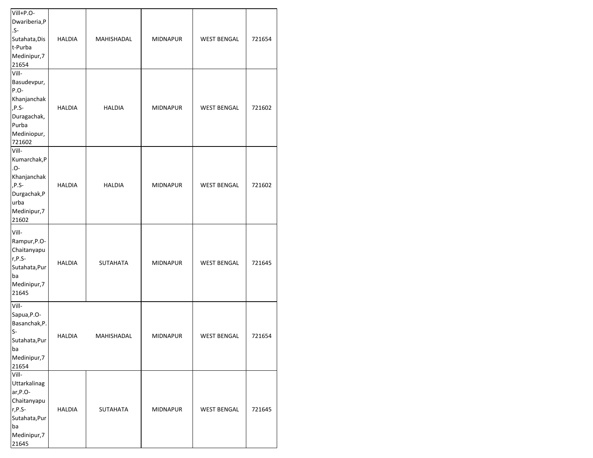| Vill+P.O-<br>Dwariberia,P<br>.S-<br>Sutahata, Dis<br>t-Purba<br>Medinipur,7<br>21654                      | <b>HALDIA</b> | MAHISHADAL        | <b>MIDNAPUR</b> | <b>WEST BENGAL</b> | 721654 |
|-----------------------------------------------------------------------------------------------------------|---------------|-------------------|-----------------|--------------------|--------|
| Vill-<br>Basudevpur,<br>P.O-<br>Khanjanchak<br>,P.S-<br>Duragachak,<br>Purba<br>Mediniopur,<br>721602     | <b>HALDIA</b> | <b>HALDIA</b>     | <b>MIDNAPUR</b> | <b>WEST BENGAL</b> | 721602 |
| Vill-<br>Kumarchak, P<br>-0.<br>Khanjanchak<br>,P.S-<br>Durgachak, P<br>urba<br>Medinipur,7<br>21602      | <b>HALDIA</b> | <b>HALDIA</b>     | <b>MIDNAPUR</b> | <b>WEST BENGAL</b> | 721602 |
| Vill-<br>Rampur, P.O-<br>Chaitanyapu<br>r,P.S-<br>Sutahata, Pur<br>ba<br>Medinipur,7<br>21645             | <b>HALDIA</b> | <b>SUTAHATA</b>   | <b>MIDNAPUR</b> | <b>WEST BENGAL</b> | 721645 |
| Vill-<br>Sapua, P.O-<br>Basanchak, P.<br>S-<br>Sutahata, Pur<br>ba<br>Medinipur,7<br>21654                | <b>HALDIA</b> | <b>MAHISHADAL</b> | <b>MIDNAPUR</b> | <b>WEST BENGAL</b> | 721654 |
| Vill-<br>Uttarkalinag<br>ar, P.O-<br>Chaitanyapu<br>r,P.S-<br>Sutahata, Pur<br>ba<br>Medinipur,7<br>21645 | <b>HALDIA</b> | <b>SUTAHATA</b>   | <b>MIDNAPUR</b> | <b>WEST BENGAL</b> | 721645 |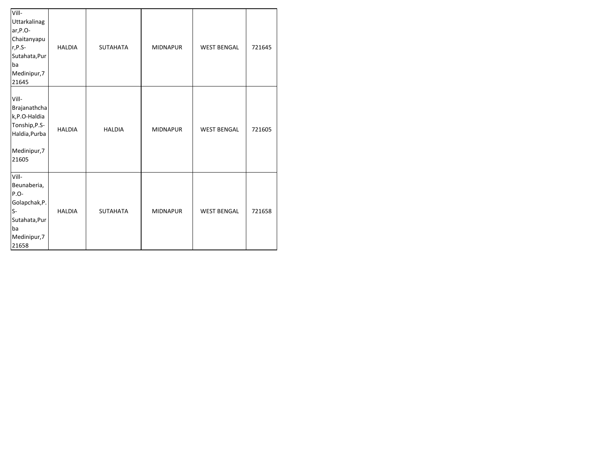| Vill-<br>Uttarkalinag<br>ar, P.O-<br>Chaitanyapu<br>r,P.S-<br>Sutahata, Pur<br>ba<br>Medinipur,7<br>21645 | <b>HALDIA</b> | <b>SUTAHATA</b> | <b>MIDNAPUR</b> | <b>WEST BENGAL</b> | 721645 |
|-----------------------------------------------------------------------------------------------------------|---------------|-----------------|-----------------|--------------------|--------|
| Vill-<br>Brajanathcha<br>k,P.O-Haldia<br>Tonship, P.S-<br>Haldia, Purba<br>Medinipur,7<br>21605           | <b>HALDIA</b> | <b>HALDIA</b>   | <b>MIDNAPUR</b> | <b>WEST BENGAL</b> | 721605 |
| Vill-<br>Beunaberia,<br>P.O-<br>Golapchak, P.<br>$S-$<br>Sutahata, Pur<br>ba<br>Medinipur,7<br>21658      | <b>HALDIA</b> | <b>SUTAHATA</b> | <b>MIDNAPUR</b> | <b>WEST BENGAL</b> | 721658 |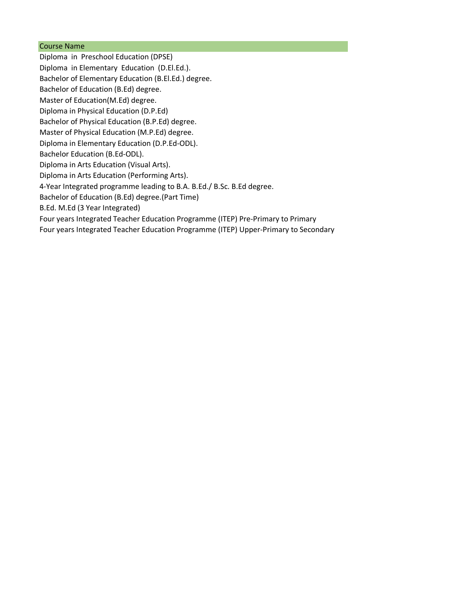## Course Name

Diploma in Preschool Education (DPSE) Diploma in Elementary Education (D.El.Ed.). Bachelor of Elementary Education (B.El.Ed.) degree. Bachelor of Education (B.Ed) degree. Master of Education(M.Ed) degree. Diploma in Physical Education (D.P.Ed) Bachelor of Physical Education (B.P.Ed) degree. Master of Physical Education (M.P.Ed) degree. Diploma in Elementary Education (D.P.Ed-ODL). Bachelor Education (B.Ed-ODL). Diploma in Arts Education (Visual Arts). Diploma in Arts Education (Performing Arts). 4-Year Integrated programme leading to B.A. B.Ed./ B.Sc. B.Ed degree. Bachelor of Education (B.Ed) degree.(Part Time) B.Ed. M.Ed (3 Year Integrated) Four years Integrated Teacher Education Programme (ITEP) Pre-Primary to Primary Four years Integrated Teacher Education Programme (ITEP) Upper-Primary to Secondary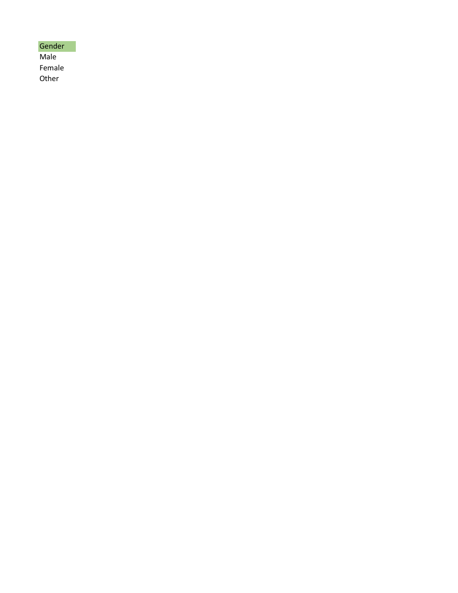| Gender |
|--------|
| Male   |
| Female |
| Other  |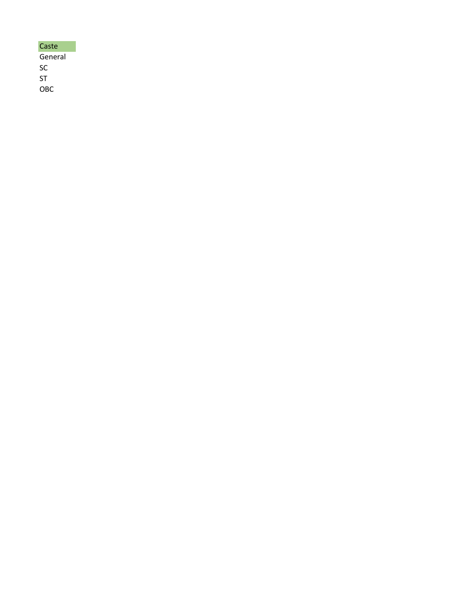| Caste   |
|---------|
| General |
| SC      |
| ST      |
| OBC     |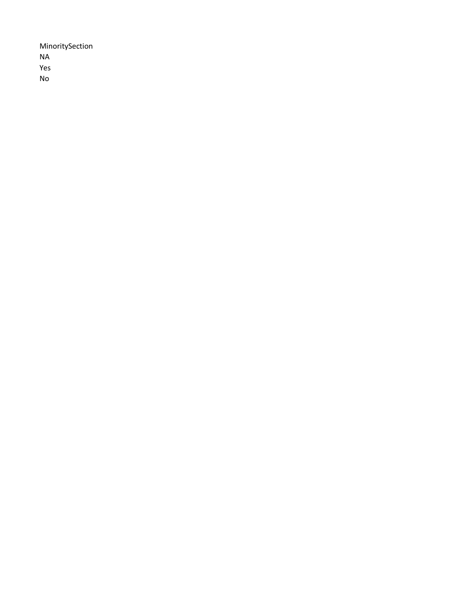MinoritySection NA Yes No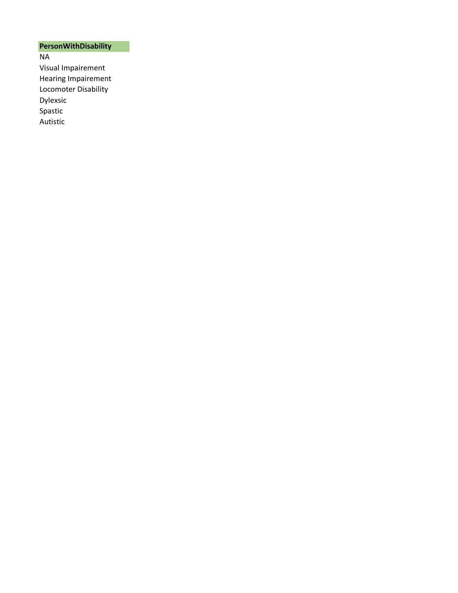## **PersonWithDisability**

NA Visual Impairement Hearing Impairement Locomoter Disability Dylexsic Spastic Autistic